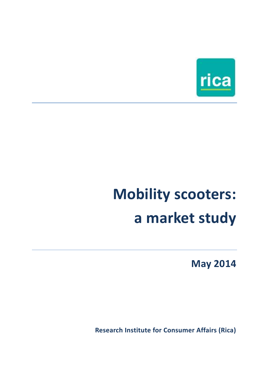

# **Mobility scooters: a market study**

**May 2014**

 **Research Institute for Consumer Affairs (Rica)**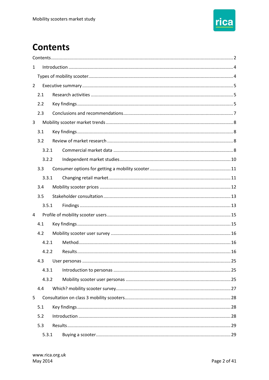

# <span id="page-1-0"></span>**Contents**

| $\mathbf{1}$   |       |  |  |  |  |  |  |  |
|----------------|-------|--|--|--|--|--|--|--|
|                |       |  |  |  |  |  |  |  |
| $\overline{2}$ |       |  |  |  |  |  |  |  |
|                | 2.1   |  |  |  |  |  |  |  |
|                | 2.2   |  |  |  |  |  |  |  |
|                | 2.3   |  |  |  |  |  |  |  |
| 3              |       |  |  |  |  |  |  |  |
|                | 3.1   |  |  |  |  |  |  |  |
|                | 3.2   |  |  |  |  |  |  |  |
|                | 3.2.1 |  |  |  |  |  |  |  |
|                | 3.2.2 |  |  |  |  |  |  |  |
|                | 3.3   |  |  |  |  |  |  |  |
|                | 3.3.1 |  |  |  |  |  |  |  |
|                | 3.4   |  |  |  |  |  |  |  |
|                | 3.5   |  |  |  |  |  |  |  |
|                | 3.5.1 |  |  |  |  |  |  |  |
| 4              |       |  |  |  |  |  |  |  |
|                | 4.1   |  |  |  |  |  |  |  |
|                | 4.2   |  |  |  |  |  |  |  |
|                | 4.2.1 |  |  |  |  |  |  |  |
|                | 4.2.2 |  |  |  |  |  |  |  |
|                | 4.3   |  |  |  |  |  |  |  |
|                | 4.3.1 |  |  |  |  |  |  |  |
|                | 4.3.2 |  |  |  |  |  |  |  |
|                | 4.4   |  |  |  |  |  |  |  |
| 5              |       |  |  |  |  |  |  |  |
|                | 5.1   |  |  |  |  |  |  |  |
|                | 5.2   |  |  |  |  |  |  |  |
|                | 5.3   |  |  |  |  |  |  |  |
|                | 5.3.1 |  |  |  |  |  |  |  |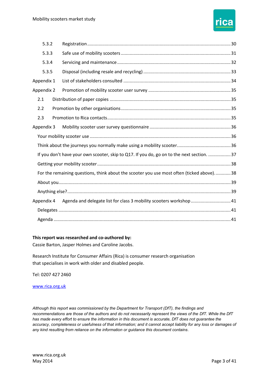

|            | 5.3.2 |                                                                                           |  |
|------------|-------|-------------------------------------------------------------------------------------------|--|
|            | 5.3.3 |                                                                                           |  |
|            | 5.3.4 |                                                                                           |  |
|            | 5.3.5 |                                                                                           |  |
| Appendix 1 |       |                                                                                           |  |
| Appendix 2 |       |                                                                                           |  |
| 2.1        |       |                                                                                           |  |
| 2.2        |       |                                                                                           |  |
| 2.3        |       |                                                                                           |  |
| Appendix 3 |       |                                                                                           |  |
|            |       |                                                                                           |  |
|            |       |                                                                                           |  |
|            |       | If you don't have your own scooter, skip to Q17. If you do, go on to the next section. 37 |  |
|            |       |                                                                                           |  |
|            |       | For the remaining questions, think about the scooter you use most often (ticked above) 38 |  |
|            |       |                                                                                           |  |
|            |       |                                                                                           |  |
| Appendix 4 |       | Agenda and delegate list for class 3 mobility scooters workshop 41                        |  |
|            |       |                                                                                           |  |
|            |       |                                                                                           |  |

#### **This report was researched and co-authored by:**

Cassie Barton, Jasper Holmes and Caroline Jacobs.

Research Institute for Consumer Affairs (Rica) is consumer research organisation<br>that specialises in work with older and disabled people.

Tel: 0207 427 2460

[www.rica.org.uk](http://www.rica.org.uk/) 

 *Although this report was commissioned by the Department for Transport (DfT), the findings and recommendations are those of the authors and do not necessarily represent the views of the DfT. While the DfT has made every effort to ensure the information in this document is accurate, DfT does not guarantee the accuracy, completeness or usefulness of that information; and it cannot accept liability for any loss or damages of any kind resulting from reliance on the information or guidance this document contains.*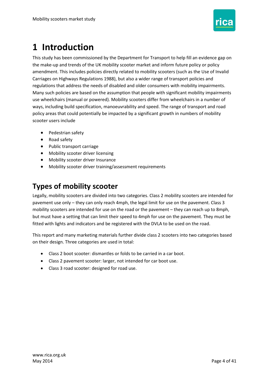

# <span id="page-3-0"></span>**1 Introduction**

 This study has been commissioned by the Department for Transport to help fill an evidence gap on the make-up and trends of the UK mobility scooter market and inform future policy or policy Many such policies are based on the assumption that people with significant mobility impairments use wheelchairs (manual or powered). Mobility scooters differ from wheelchairs in a number of ways, including build specification, manoeuvrability and speed. The range of transport and road policy areas that could potentially be impacted by a significant growth in numbers of mobility scooter users include amendment. This includes policies directly related to mobility scooters (such as the Use of Invalid Carriages on Highways Regulations 1988), but also a wider range of transport policies and regulations that address the needs of disabled and older consumers with mobility impairments.

- Pedestrian safety
- Road safety
- Public transport carriage
- Mobility scooter driver licensing
- Mobility scooter driver Insurance
- Mobility scooter driver training/assessment requirements

### <span id="page-3-1"></span> **Types of mobility scooter**

 Legally, mobility scooters are divided into two categories. Class 2 mobility scooters are intended for but must have a setting that can limit their speed to 4mph for use on the pavement. They must be fitted with lights and indicators and be registered with the DVLA to be used on the road. pavement use only – they can only reach 4mph, the legal limit for use on the pavement. Class 3 mobility scooters are intended for use on the road or the pavement – they can reach up to 8mph,

This report and many marketing materials further divide class 2 scooters into two categories based on their design. Three categories are used in total:

- Class 2 boot scooter: dismantles or folds to be carried in a car boot.
- Class 2 pavement scooter: larger, not intended for car boot use.
- Class 3 road scooter: designed for road use.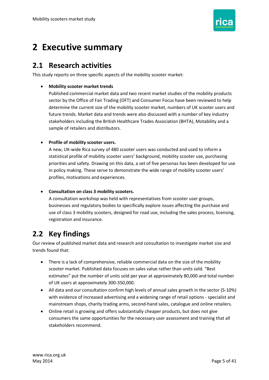

# <span id="page-4-0"></span> **2 Executive summary**

### <span id="page-4-1"></span>**2.1 Research activities**

This study reports on three specific aspects of the mobility scooter market:

#### **Mobility scooter market trends**

 sector by the Office of Fair Trading (OFT) and Consumer Focus have been reviewed to help future trends. Market data and trends were also discussed with a number of key industry Published commercial market data and two recent market studies of the mobility products determine the current size of the mobility scooter market, numbers of UK scooter users and stakeholders including the British Healthcare Trades Association (BHTA), Motability and a sample of retailers and distributors.

#### **Profile of mobility scooter users.**

 A new, UK-wide Rica survey of 480 scooter users was conducted and used to inform a priorities and safety. Drawing on this data, a set of five personas has been developed for use statistical profile of mobility scooter users' background, mobility scooter use, purchasing in policy making. These serve to demonstrate the wide range of mobility scooter users' profiles, motivations and experiences.

#### **Consultation on class 3 mobility scooters.**

 use of class 3 mobility scooters, designed for road use, including the sales process, licensing, registration and insurance. A consultation workshop was held with representatives from scooter user groups, businesses and regulatory bodies to specifically explore issues affecting the purchase and

### <span id="page-4-2"></span>**2.2 Key findings**

 Our review of published market data and research and consultation to investigate market size and trends found that:

- There is a lack of comprehensive, reliable commercial data on the size of the mobility scooter market. Published data focuses on sales value rather than units sold. "Best estimates" put the number of units sold per year at approximately 80,000 and total number of UK users at approximately 300-350,000.
- All data and our consultation confirm high levels of annual sales growth in the sector (5-10%) with evidence of increased advertising and a widening range of retail options - specialist and mainstream shops, charity trading arms, second-hand sales, catalogue and online retailers.
- Online retail is growing and offers substantially cheaper products, but does not give consumers the same opportunities for the necessary user assessment and training that all stakeholders recommend.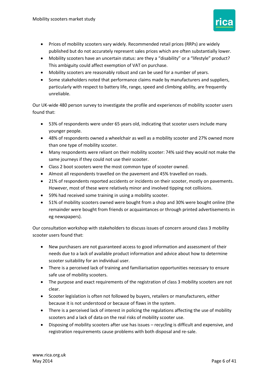

- Prices of mobility scooters vary widely. Recommended retail prices (RRPs) are widely published but do not accurately represent sales prices which are often substantially lower.
- Mobility scooters have an uncertain status: are they a "disability" or a "lifestyle" product? This ambiguity could affect exemption of VAT on purchase.
- Mobility scooters are reasonably robust and can be used for a number of years.
- Some stakeholders noted that performance claims made by manufacturers and suppliers, particularly with respect to battery life, range, speed and climbing ability, are frequently unreliable.

 Our UK-wide 480 person survey to investigate the profile and experiences of mobility scooter users found that:

- 53% of respondents were under 65 years old, indicating that scooter users include many younger people.
- 48% of respondents owned a wheelchair as well as a mobility scooter and 27% owned more than one type of mobility scooter.
- Many respondents were reliant on their mobility scooter: 74% said they would not make the same journeys if they could not use their scooter.
- Class 2 boot scooters were the most common type of scooter owned.
- Almost all respondents travelled on the pavement and 45% travelled on roads.
- 21% of respondents reported accidents or incidents on their scooter, mostly on pavements. However, most of these were relatively minor and involved tipping not collisions.
- 59% had received some training in using a mobility scooter.
- 51% of mobility scooters owned were bought from a shop and 30% were bought online (the remainder were bought from friends or acquaintances or through printed advertisements in eg newspapers).

 Our consultation workshop with stakeholders to discuss issues of concern around class 3 mobility scooter users found that:

- needs due to a lack of available product information and advice about how to determine New purchasers are not guaranteed access to good information and assessment of their scooter suitability for an individual user.
- There is a perceived lack of training and familiarisation opportunities necessary to ensure safe use of mobility scooters.
- The purpose and exact requirements of the registration of class 3 mobility scooters are not clear.
- because it is not understood or because of flaws in the system. Scooter legislation is often not followed by buyers, retailers or manufacturers, either
- scooters and a lack of data on the real risks of mobility scooter use. There is a perceived lack of interest in policing the regulations affecting the use of mobility
- Disposing of mobility scooters after use has issues recycling is difficult and expensive, and registration requirements cause problems with both disposal and re-sale.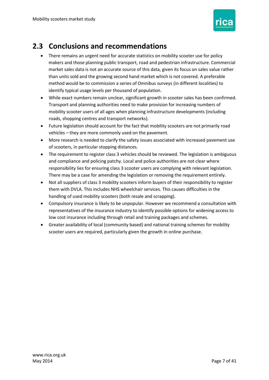

### <span id="page-6-0"></span>**2.3 Conclusions and recommendations**

- There remains an urgent need for accurate statistics on mobility scooter use for policy market sales data is not an accurate source of this data, given its focus on sales value rather method would be to commission a series of Omnibus surveys (in different localities) to identify typical usage levels per thousand of population. makers and those planning public transport, road and pedestrian infrastructure. Commercial than units sold and the growing second hand market which is not covered. A preferable
- Transport and planning authorities need to make provision for increasing numbers of While exact numbers remain unclear, significant growth in scooter sales has been confirmed. mobility scooter users of all ages when planning infrastructure developments (including roads, shopping centres and transport networks).
- Future legislation should account for the fact that mobility scooters are not primarily road vehicles – they are more commonly used on the pavement.
- of scooters, in particular stopping distances. More research is needed to clarify the safety issues associated with increased pavement use
- There may be a case for amending the legislation or removing the requirement entirely. The requirement to register class 3 vehicles should be reviewed. The legislation is ambiguous and compliance and policing patchy. Local and police authorities are not clear where responsibility lies for ensuring class 3 scooter users are complying with relevant legislation.
- Not all suppliers of class 3 mobility scooters inform buyers of their responsibility to register them with DVLA. This includes NHS wheelchair services. This causes difficulties in the handling of used mobility scooters (both resale and scrapping).
- low cost insurance including through retail and training packages and schemes. Compulsory insurance is likely to be unpopular. However we recommend a consultation with representatives of the insurance industry to identify possible options for widening access to
- Greater availability of local (community based) and national training schemes for mobility scooter users are required, particularly given the growth in online purchase.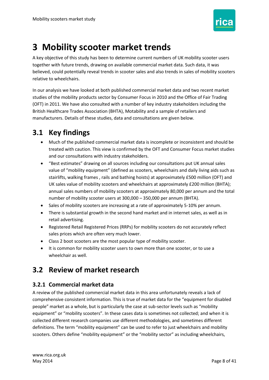

# <span id="page-7-0"></span>**3 Mobility scooter market trends**

 A key objective of this study has been to determine current numbers of UK mobility scooter users together with future trends, drawing on available commercial market data. Such data, it was believed, could potentially reveal trends in scooter sales and also trends in sales of mobility scooters relative to wheelchairs.

 In our analysis we have looked at both published commercial market data and two recent market studies of the mobility products sector by Consumer Focus in 2010 and the Office of Fair Trading (OFT) in 2011. We have also consulted with a number of key industry stakeholders including the manufacturers. Details of these studies, data and consultations are given below. British Healthcare Trades Association (BHTA), Motability and a sample of retailers and

### <span id="page-7-1"></span>**3.1 Key findings**

- Much of the published commercial market data is incomplete or inconsistent and should be treated with caution. This view is confirmed by the OFT and Consumer Focus market studies and our consultations with industry stakeholders.
- "Best estimates" drawing on all sources including our consultations put UK annual sales value of "mobility equipment" (defined as scooters, wheelchairs and daily living aids such as UK sales value of mobility scooters and wheelchairs at approximately £200 million (BHTA); annual sales numbers of mobility scooters at approximately 80,000 per annum and the total number of mobility scooter users at 300,000 – 350,000 per annum (BHTA). stairlifts, walking frames , rails and bathing hoists) at approximately £500 million (OFT) and
- Sales of mobility scooters are increasing at a rate of approximately 5-10% per annum.
- There is substantial growth in the second hand market and in internet sales, as well as in retail advertising.
- Registered Retail Registered Prices (RRPs) for mobility scooters do not accurately reflect sales prices which are often very much lower.
- Class 2 boot scooters are the most popular type of mobility scooter.
- wheelchair as well. • It is common for mobility scooter users to own more than one scooter, or to use a

### <span id="page-7-2"></span>**3.2 Review of market research**

#### <span id="page-7-3"></span> **3.2.1 Commercial market data**

 people" market as a whole, but is particularly the case at sub-sector levels such as "mobility definitions. The term "mobility equipment" can be used to refer to just wheelchairs and mobility scooters. Others define "mobility equipment" or the "mobility sector" as including wheelchairs, A review of the published commercial market data in this area unfortunately reveals a lack of comprehensive consistent information. This is true of market data for the "equipment for disabled equipment" or "mobility scooters". In these cases data is sometimes not collected; and when it is collected different research companies use different methodologies, and sometimes different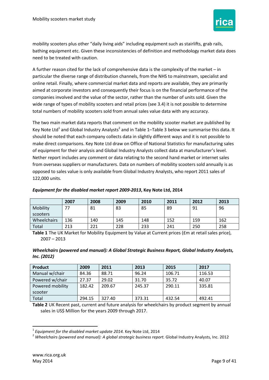

 mobility scooters plus other "daily living aids" including equipment such as stairlifts, grab rails, bathing equipment etc. Given these inconsistencies of definition and methodology market data does need to be treated with caution.

 A further reason cited for the lack of comprehensive data is the complexity of the market – in particular the diverse range of distribution channels, from the NHS to mainstream, specialist and online retail. Finally, where commercial market data and reports are available, they are primarily aimed at corporate investors and consequently their focus is on the financial performance of the companies involved and the value of the sector, rather than the number of units sold. Given the wide range of types of mobility scooters and retail prices (see [3.4\)](#page-11-0) it is not possible to determine total numbers of mobility scooters sold from annual sales value data with any accuracy.

Key Note Ltd<sup>1</sup> and Global Industry Analysts<sup>2</sup> and i[n Table 1](#page-8-0)–[Table 3](#page-9-1) below we summarise this data. It should be noted that each company collects data in slightly different ways and it is not possible to make direct comparisons. Key Note Ltd draw on Office of National Statistics for manufacturing sales of equipment for their analysis and Global Industry Analysts collect data at manufacturer's level. Nether report includes any comment or data relating to the second hand market or internet sales 122,000 units. The two main market data reports that comment on the mobility scooter market are published by from overseas suppliers or manufacturers. Data on numbers of mobility scooters sold annually is as opposed to sales value is only available from Global Industry Analysts, who report 2011 sales of

| Equipment for the disabled market report 2009-2013, Key Note Ltd, 2014 |  |
|------------------------------------------------------------------------|--|
|                                                                        |  |

| Equipment for the disabled market report 2009-2013, Key Note Ltd, 2014 |      |      |      |      |      |      |      |
|------------------------------------------------------------------------|------|------|------|------|------|------|------|
|                                                                        | 2007 | 2008 | 2009 | 2010 | 2011 | 2012 | 2013 |
| Mobility                                                               | フフ   | 81   | 83   | 85   | 89   | 91   | 96   |
| scooters                                                               |      |      |      |      |      |      |      |
| Wheelchairs<br>136<br>140<br>159<br>145<br>148<br>162<br>152           |      |      |      |      |      |      |      |
| Total                                                                  | 213  | 221  | 228  | 233  | 241  | 250  | 258  |

<span id="page-8-0"></span> 2007 – 2013 **Table 1** The UK Market for Mobility Equipment by Value at Current prices (£m at retail sales price),

 *Wheelchairs (powered and manual): A Global Strategic Business Report, Global Industry Analysts, Inc. (2012)* 

| Product          | 2009   | 2011   | 2013   | 2015   | 2017   |
|------------------|--------|--------|--------|--------|--------|
| Manual w/chair   | 84.36  | 88.71  | 96.24  | 106.71 | 116.53 |
| Powered w/chair  | 27.37  | 29.02  | 31.70  | 35.72  | 40.07  |
| Powered mobility | 182.42 | 209.67 | 245.37 | 290.11 | 335.81 |
| scooter          |        |        |        |        |        |
| Total            | 294.15 | 327.40 | 373.31 | 432.54 | 492.41 |

**Table 2** UK Recent past, current and future analysis for wheelchairs by product segment by annual sales in US\$ Million for the years 2009 through 2017.

**.** 

<sup>&</sup>lt;sup>1</sup> Equipment for the disabled market update 2014. Key Note Ltd, 2014<br><sup>2</sup> Wheelchairs (powered and manual): A global strategic business report. Global Industry Analysts, Inc. 2012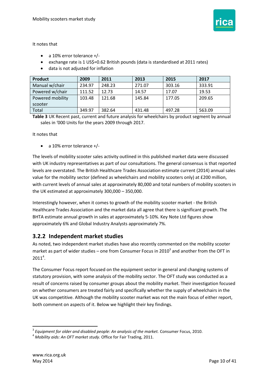

It notes that

- a 10% error tolerance +/-
- exchange rate is 1 US\$=0.62 British pounds (data is standardised at 2011 rates)
- data is not adjusted for inflation

| Product          | 2009   | 2011   | 2013   | 2015   | 2017   |
|------------------|--------|--------|--------|--------|--------|
| Manual w/chair   | 234.97 | 248.23 | 271.07 | 303.16 | 333.91 |
| Powered w/chair  | 111.52 | 12.73  | 14.57  | 17.07  | 19.53  |
| Powered mobility | 103.48 | 121.68 | 145.84 | 177.05 | 209.65 |
| scooter          |        |        |        |        |        |
| Total            | 349.97 | 382.64 | 431.48 | 497.28 | 563.09 |

<span id="page-9-1"></span> sales in '000 Units for the years 2009 through 2017. **Table 3** UK Recent past, current and future analysis for wheelchairs by product segment by annual

It notes that

a 10% error tolerance +/-

 The levels of mobility scooter sales activity outlined in this published market data were discussed levels are overstated. The British Healthcare Trades Association estimate current (2014) annual sales value for the mobility sector (defined as wheelchairs and mobility scooters only) at £200 million, with current levels of annual sales at approximately 80,000 and total numbers of mobility scooters in the UK estimated at approximately 300,000 – 350,000. with UK industry representatives as part of our consultations. The general consensus is that reported

 Interestingly however, when it comes to growth of the mobility scooter market - the British Healthcare Trades Association and the market data all agree that there is significant growth. The BHTA estimate annual growth in sales at approximately 5-10%. Key Note Ltd figures show approximately 6% and Global Industry Analysts approximately 7%.

#### <span id="page-9-0"></span> **3.2.2 Independent market studies**

 As noted, two independent market studies have also recently commented on the mobility scooter market as part of wider studies – one from Consumer Focus in 2010<sup>3</sup> and another from the OFT in  $2011<sup>4</sup>$ .

 The Consumer Focus report focused on the equipment sector in general and changing systems of result of concerns raised by consumer groups about the mobility market. Their investigation focused statutory provision, with some analysis of the mobility sector. The OFT study was conducted as a on whether consumers are treated fairly and specifically whether the supply of wheelchairs in the UK was competitive. Although the mobility scooter market was not the main focus of either report, both comment on aspects of it. Below we highlight their key findings.

**<sup>.</sup>** <sup>3</sup> Equipment for older and disabled people: An analysis of the market. Consumer Focus, 2010.<br><sup>4</sup> Mobility aids: An OFT market study. Office for Fair Trading, 2011.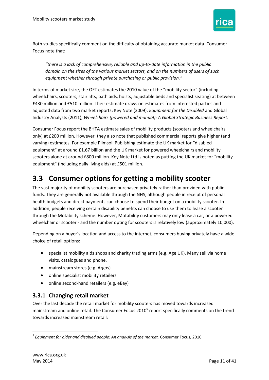

 Both studies specifically comment on the difficulty of obtaining accurate market data. Consumer Focus note that:

 *equipment whether through private purchasing or public provision." "there is a lack of comprehensive, reliable and up-to-date information in the public domain on the sizes of the various market sectors, and on the numbers of users of such* 

 In terms of market size, the OFT estimates the 2010 value of the "mobility sector" (including wheelchairs, scooters, stair lifts, bath aids, hoists, adjustable beds and specialist seating) at between £430 million and £510 million. Their estimate draws on estimates from interested parties and adjusted data from two market reports: Key Note (2009), *Equipment for the Disabled* and Global Industry Analysts (2011), Wheelchairs (powered and manual): A Global Strategic Business Report.

Industry Analysts (2011), *Wheelchairs (powered and manual): A Global Strategic Business Report.*<br>Consumer Focus report the BHTA estimate sales of mobility products (scooters and wheelchairs only) at £200 million. However, they also note that published commercial reports give higher (and equipment" at around £1.67 billion and the UK market for powered wheelchairs and mobility scooters alone at around £800 million. Key Note Ltd is noted as putting the UK market for "mobility equipment" (including daily living aids) at £501 million. varying) estimates. For example Plimsoll Publishing estimate the UK market for "disabled

### <span id="page-10-0"></span>**3.3 Consumer options for getting a mobility scooter**

 addition, people receiving certain disability benefits can choose to use them to lease a scooter wheelchair or scooter - and the number opting for scooters is relatively low (approximately 10,000). The vast majority of mobility scooters are purchased privately rather than provided with public funds. They are generally not available through the NHS, although people in receipt of personal health budgets and direct payments can choose to spend their budget on a mobility scooter. In through the Motability scheme. However, Motability customers may only lease a car, or a powered

Depending on a buyer's location and access to the internet, consumers buying privately have a wide choice of retail options:

- specialist mobility aids shops and charity trading arms (e.g. Age UK). Many sell via home visits, catalogues and phone.
- mainstream stores (e.g. Argos)
- online specialist mobility retailers
- online second-hand retailers (e.g. eBay)

#### <span id="page-10-1"></span>**3.3.1 Changing retail market**

mainstream and online retail. The Consumer Focus 2010<sup>5</sup> report specifically comments on the trend Over the last decade the retail market for mobility scooters has moved towards increased towards increased mainstream retail:

<sup>1</sup> <sup>5</sup>*Equipment for older and disabled people: An analysis of the market.* Consumer Focus, 2010.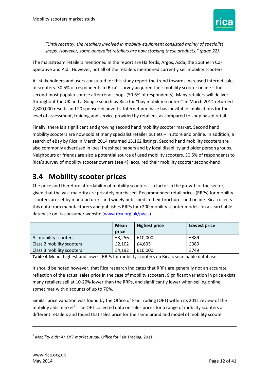

 *shops. However, some generalist retailers are now stocking these products." (page 22). "Until recently, the retailers involved in mobility equipment consisted mainly of specialist* 

The mainstream retailers mentioned in the report are Halfords, Argos, Asda, the Southern Cooperative and Aldi. However, not all of the retailers mentioned currently sell mobility scooters.

 of scooters. 30.5% of respondents to Rica's survey acquired their mobility scooter online – the throughout the UK and a Google search by Rica for "buy mobility scooters" in March 2014 returned 2,800,000 results and 20 sponsored adverts. Internet purchase has inevitable implications for the All stakeholders and users consulted for this study report the trend towards increased internet sales second-most popular source after retail shops (50.6% of respondents). Many retailers will deliver level of assessment, training and service provided by retailers, as compared to shop based retail.

 Finally, there is a significant and growing second hand mobility scooter market. Second hand mobility scooters are now sold at many specialist retailer outlets – in store and online. In addition, a search of eBay by Rica in March 2014 returned 13,162 listings. Second hand mobility scooters are also commonly advertised in local freesheet papers and by local disability and older person groups. Neighbours or friends are also a potential source of used mobility scooters. 30.5% of respondents to Rica's survey of mobility scooter owners (see [4\)](#page-14-0), acquired their mobility scooter second-hand.

### <span id="page-11-0"></span>**3.4 Mobility scooter prices**

 this data from manufacturers and publishes RRPs for c200 mobility scooter models on a searchable The price and therefore affordability of mobility scooters is a factor in the growth of the sector, given that the vast majority are privately purchased. Recommended retail prices (RRPs) for mobility scooters are set by manufacturers and widely published in their brochures and online. Rica collects database on its consumer website [\(www.rica.org.uk/pwcs\)](http://www.rica.org.uk/pwcs).

|                           | <b>Mean</b> | <b>Highest price</b> | Lowest price |
|---------------------------|-------------|----------------------|--------------|
|                           | price       |                      |              |
| All mobility scooters     | £3.256      | £10.000              | £389         |
| Class 2 mobility scooters | £2,102      | £4.695               | £389         |
| Class 3 mobility scooters | £4,192      | £10.000              | £749         |

**Table 4** Mean, highest and lowest RRPs for mobility scooters on Rica's searchable database.

 reflection of the actual sales price in the case of mobility scooters. Significant variation in price exists sometimes with discounts of up to 70%. It should be noted however, that Rica research indicates that RRPs are generally not an accurate many retailers sell at 10-20% lower than the RRPs, and significantly lower when selling online,

 Similar price variation was found by the Office of Fair Trading (OFT) within its 2011 review of the mobility aids market<sup>6</sup>. The OFT collected data on sales prices for a range of mobility scooters at different retailers and found that sales price for the same brand and model of mobility scooter

<sup>6</sup>*Mobility aids: An OFT market study.* Office for Fair Trading, 2011.

**.**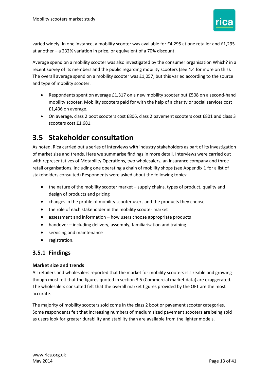

 varied widely. In one instance, a mobility scooter was available for £4,295 at one retailer and £1,295 at another – a 232% variation in price, or equivalent of a 70% discount.

 recent survey of its members and the public regarding mobility scooters (see [4.4](#page-26-0) for more on this). The overall average spend on a mobility scooter was £1,057, but this varied according to the source and type of mobility scooter. Average spend on a mobility scooter was also investigated by the consumer organisation Which? in a

- £1,436 on average. Respondents spent on average £1,317 on a new mobility scooter but £508 on a second-hand mobility scooter. Mobility scooters paid for with the help of a charity or social services cost
- On average, class 2 boot scooters cost £806, class 2 pavement scooters cost £801 and class 3 scooters cost £1,681.

### <span id="page-12-0"></span>**3.5 Stakeholder consultation**

 with representatives of Motability Operations, two wholesalers, an insurance company and three retail organisations, including one operating a chain of mobility shops (see [Appendix 1](#page-33-0) for a list of As noted, Rica carried out a series of interviews with industry stakeholders as part of its investigation of market size and trends. Here we summarise findings in more detail. Interviews were carried out stakeholders consulted) Respondents were asked about the following topics:

- the nature of the mobility scooter market supply chains, types of product, quality and design of products and pricing
- changes in the profile of mobility scooter users and the products they choose
- the role of each stakeholder in the mobility scooter market
- assessment and information how users choose appropriate products
- handover including delivery, assembly, familiarisation and training
- **•** servicing and maintenance
- **•** registration.

#### <span id="page-12-1"></span>**3.5.1 Findings**

#### **Market size and trends**

 though most felt that the figures quoted in section 3.5 [\(Commercial market data\)](#page-7-3) are exaggerated. The wholesalers consulted felt that the overall market figures provided by the OFT are the most All retailers and wholesalers reported that the market for mobility scooters is sizeable and growing accurate.

The majority of mobility scooters sold come in the class 2 boot or pavement scooter categories. Some respondents felt that increasing numbers of medium sized pavement scooters are being sold as users look for greater durability and stability than are available from the lighter models.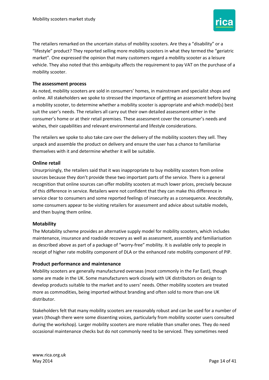

The retailers remarked on the uncertain status of mobility scooters. Are they a "disability" or a "lifestyle" product? They reported selling more mobility scooters in what they termed the "geriatric market". One expressed the opinion that many customers regard a mobility scooter as a leisure vehicle. They also noted that this ambiguity affects the requirement to pay VAT on the purchase of a mobility scooter.

#### **The assessment process**

As noted, mobility scooters are sold in consumers' homes, in mainstream and specialist shops and online. All stakeholders we spoke to stressed the importance of getting an assessment before buying a mobility scooter, to determine whether a mobility scooter is appropriate and which model(s) best suit the user's needs. The retailers all carry out their own detailed assessment either in the consumer's home or at their retail premises. These assessment cover the consumer's needs and wishes, their capabilities and relevant environmental and lifestyle considerations.

The retailers we spoke to also take care over the delivery of the mobility scooters they sell. They unpack and assemble the product on delivery and ensure the user has a chance to familiarise themselves with it and determine whether it will be suitable.

#### **Online retail**

 and then buying them online. Unsurprisingly, the retailers said that it was inappropriate to buy mobility scooters from online sources because they don't provide these two important parts of the service. There is a general recognition that online sources can offer mobility scooters at much lower prices, precisely because of this difference in service. Retailers were not confident that they can make this difference in service clear to consumers and some reported feelings of insecurity as a consequence. Anecdotally, some consumers appear to be visiting retailers for assessment and advice about suitable models,

#### **Motability**

The Motability scheme provides an alternative supply model for mobility scooters, which includes maintenance, insurance and roadside recovery as well as assessment, assembly and familiarisation as described above as part of a package of "worry-free" mobility. It is available only to people in receipt of higher rate mobility component of DLA or the enhanced rate mobility component of PIP.

#### **Product performance and maintenance**

 some are made in the UK. Some manufacturers work closely with UK distributors on design to more as commodities, being imported without branding and often sold to more than one UK Mobility scooters are generally manufactured overseas (most commonly in the Far East), though develop products suitable to the market and to users' needs. Other mobility scooters are treated distributor.

Stakeholders felt that many mobility scooters are reasonably robust and can be used for a number of years (though there were some dissenting voices, particularly from mobility scooter users consulted during the workshop). Larger mobility scooters are more reliable than smaller ones. They do need occasional maintenance checks but do not commonly need to be serviced. They sometimes need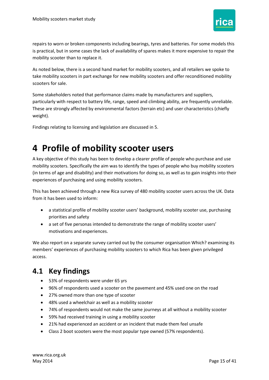

repairs to worn or broken components including bearings, tyres and batteries. For some models this is practical, but in some cases the lack of availability of spares makes it more expensive to repair the mobility scooter than to replace it.

As noted below, there is a second hand market for mobility scooters, and all retailers we spoke to take mobility scooters in part exchange for new mobility scooters and offer reconditioned mobility scooters for sale.

Some stakeholders noted that performance claims made by manufacturers and suppliers, particularly with respect to battery life, range, speed and climbing ability, are frequently unreliable. These are strongly affected by environmental factors (terrain etc) and user characteristics (chiefly weight).

Findings relating to licensing and legislation are discussed in [5.](#page-27-0)

## <span id="page-14-0"></span>**4 Profile of mobility scooter users**

 mobility scooters. Specifically the aim was to identify the types of people who buy mobility scooters (in terms of age and disability) and their motivations for doing so, as well as to gain insights into their A key objective of this study has been to develop a clearer profile of people who purchase and use experiences of purchasing and using mobility scooters.

 This has been achieved through a new Rica survey of 480 mobility scooter users across the UK. Data from it has been used to inform:

- a statistical profile of mobility scooter users' background, mobility scooter use, purchasing priorities and safety
- a set of five personas intended to demonstrate the range of mobility scooter users' motivations and experiences.

 We also report on a separate survey carried out by the consumer organisation Which? examining its members' experiences of purchasing mobility scooters to which Rica has been given privileged access.

### <span id="page-14-1"></span>**4.1 Key findings**

- 53% of respondents were under 65 yrs
- 96% of respondents used a scooter on the pavement and 45% used one on the road
- 27% owned more than one type of scooter
- 48% used a wheelchair as well as a mobility scooter
- 74% of respondents would not make the same journeys at all without a mobility scooter
- 59% had received training in using a mobility scooter
- 21% had experienced an accident or an incident that made them feel unsafe
- Class 2 boot scooters were the most popular type owned (57% respondents).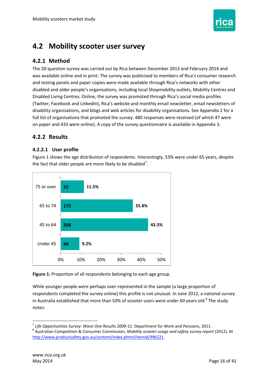

### <span id="page-15-0"></span>**4.2 Mobility scooter user survey**

#### <span id="page-15-1"></span>**4.2.1 Method**

 The 20-question survey was carried out by Rica between December 2013 and February 2014 and was available online and in print. The survey was publicised to members of Rica's consumer research and testing panels and paper copies were made available through Rica's networks with other disabled and older people's organisations, including local Shopmobility outlets, Mobility Centres and Disabled Living Centres. Online, the survey was promoted through Rica's social media profiles (Twitter, Facebook and LinkedIn), Rica's website and monthly email newsletter, email newsletters of disability organisations, and blogs and web articles for disability organisations. See [Appendix 2](#page-34-0) for a full list of organisations that promoted the survey. 480 responses were received (of which 47 were on paper and 433 were online). A copy of the survey questionnaire is available in [Appendix 3.](#page-35-0)

#### <span id="page-15-2"></span>**4.2.2 Results**

#### **4.2.2.1 User profile**

 [Figure 1](#page-15-3) shows the age distribution of respondents. Interestingly, 53% were under 65 years, despite the fact that older people are more likely to be disabled<sup>7</sup>.



#### <span id="page-15-3"></span>**Figure 1:** Proportion of all respondents belonging to each age group.

in Australia established that more than 50% of scooter users were under 60 years old.<sup>8</sup> The study notes: While younger people were perhaps over-represented in the sample (a large proportion of respondents completed the survey online) this profile is not unusual. In June 2012, a national survey

**.** 

<sup>&</sup>lt;sup>8</sup> Australian Competition & Consumer Commission, Mobility scooter usage and safety survey report (2012). At notes: 7 *Life Opportunities Survey: Wave One Results 2009-11*. Department for Work and Pensions, 2011. 8 Australian Competition & Consumer Commission, *Mobility scooter usage and safety survey report* (2012). At [http://www.productsafety.gov.au/content/index.phtml/itemId/996221.](http://www.productsafety.gov.au/content/index.phtml/itemId/996221)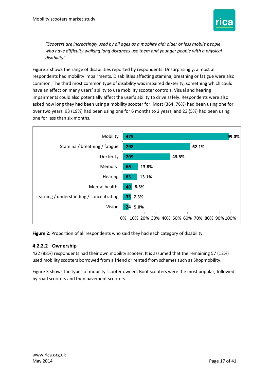

*"Scooters are increasingly used by all ages as a mobility aid; older or less mobile people who have difficulty walking long distances use them and younger people with a physical disability".* 

 have an effect on many users' ability to use mobility scooter controls. Visual and hearing asked how long they had been using a mobility scooter for. Most (364, 76%) had been using one for over two years. 93 (19%) had been using one for 6 months to 2 years, and 23 (5%) had been using one for less than six months. [Figure 2](#page-16-0) shows the range of disabilities reported by respondents. Unsurprisingly, almost all respondents had mobility impairments. Disabilities affecting stamina, breathing or fatigue were also common. The third most common type of disability was impaired dexterity, something which could impairments could also potentially affect the user's ability to drive safely. Respondents were also



<span id="page-16-0"></span>**Figure 2:** Proportion of all respondents who said they had each category of disability.

#### **4.2.2.2 Ownership**

422 (88%) respondents had their own mobility scooter. It is assumed that the remaining 57 (12%) used mobility scooters borrowed from a friend or rented from schemes such as Shopmobility.

 [Figure 3](#page-17-0) shows the types of mobility scooter owned. Boot scooters were the most popular, followed by road scooters and then pavement scooters.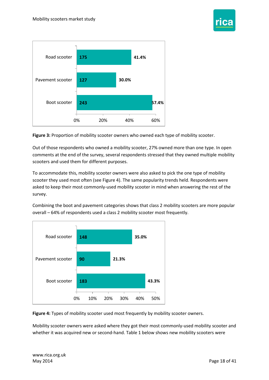



<span id="page-17-0"></span>**Figure 3:** Proportion of mobility scooter owners who owned each type of mobility scooter.

 Out of those respondents who owned a mobility scooter, 27% owned more than one type. In open comments at the end of the survey, several respondents stressed that they owned multiple mobility scooters and used them for different purposes.

 asked to keep their most commonly-used mobility scooter in mind when answering the rest of the To accommodate this, mobility scooter owners were also asked to pick the one type of mobility scooter they used most often (see [Figure 4\)](#page-17-1). The same popularity trends held. Respondents were survey.

 Combining the boot and pavement categories shows that class 2 mobility scooters are more popular overall – 64% of respondents used a class 2 mobility scooter most frequently.



<span id="page-17-1"></span>**Figure 4:** Types of mobility scooter used most frequently by mobility scooter owners.

 Mobility scooter owners were asked where they got their most commonly-used mobility scooter and whether it was acquired new or second-hand. Table 1 below shows new mobility scooters were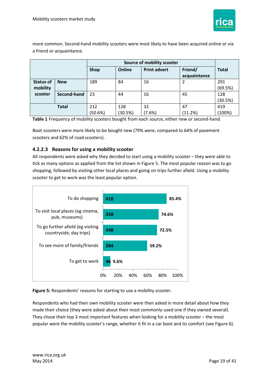

more common. Second-hand mobility scooters were most likely to have been acquired online or via a friend or acquaintance.

|                  |              | Shop    | Online  | <b>Print advert</b> | Friend/      | <b>Total</b> |
|------------------|--------------|---------|---------|---------------------|--------------|--------------|
|                  |              |         |         |                     | acquaintance |              |
| <b>Status of</b> | <b>New</b>   | 189     | 84      | 16                  |              | 291          |
| mobility         |              |         |         |                     |              | (69.5%)      |
| scooter          | Second-hand  | 23      | 44      | 16                  | 45           | 128          |
|                  |              |         |         |                     |              | (30.5%)      |
|                  | <b>Total</b> | 212     | 128     | 32                  | 47           | 419          |
|                  |              | (50.6%) | (30.5%) | (7.6%)              | (11.2%)      | (100%)       |

**Table 1** Frequency of mobility scooters bought from each source, either new or second-hand.

Boot scooters were more likely to be bought new (79% were, compared to 64% of pavement scooters and 62% of road scooters).

#### **4.2.2.3 Reasons for using a mobility scooter**

 All respondents were asked why they decided to start using a mobility scooter – they were able to tick as many options as applied from the list shown i[n Figure 5.](#page-18-0) The most popular reason was to go scooter to get to work was the least popular option. shopping, followed by visiting other local places and going on trips further afield. Using a mobility



<span id="page-18-0"></span>Figure 5: Respondents' reasons for starting to use a mobility scooter.

 They chose their top 3 most important features when looking for a mobility scooter – the most popular were the mobility scooter's range, whether it fit in a car boot and its comfort (see [Figure 6\)](#page-19-0). Respondents who had their own mobility scooter were then asked in more detail about how they made their choice (they were asked about their most commonly-used one if they owned several).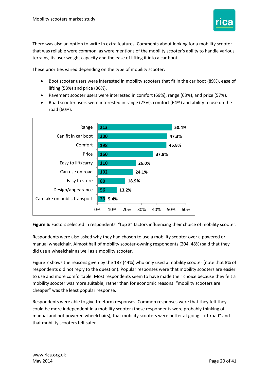

There was also an option to write in extra features. Comments about looking for a mobility scooter that was reliable were common, as were mentions of the mobility scooter's ability to handle various terrains, its user weight capacity and the ease of lifting it into a car boot.

These priorities varied depending on the type of mobility scooter:

- Boot scooter users were interested in mobility scooters that fit in the car boot (89%), ease of lifting (53%) and price (36%).
- Pavement scooter users were interested in comfort (69%), range (63%), and price (57%).
- Road scooter users were interested in range (73%), comfort (64%) and ability to use on the road (60%).



<span id="page-19-0"></span>**Figure 6:** Factors selected in respondents' "top 3" factors influencing their choice of mobility scooter.

Respondents were also asked why they had chosen to use a mobility scooter over a powered or manual wheelchair. Almost half of mobility scooter-owning respondents (204, 48%) said that they did use a wheelchair as well as a mobility scooter.

 [Figure 7](#page-20-0) shows the reasons given by the 187 (44%) who only used a mobility scooter (note that 8% of respondents did not reply to the question). Popular responses were that mobility scooters are easier mobility scooter was more suitable, rather than for economic reasons: "mobility scooters are cheaper" was the least popular response. to use and more comfortable. Most respondents seem to have made their choice because they felt a

 manual and not powered wheelchairs), that mobility scooters were better at going "off-road" and Respondents were able to give freeform responses. Common responses were that they felt they could be more independent in a mobility scooter (these respondents were probably thinking of that mobility scooters felt safer.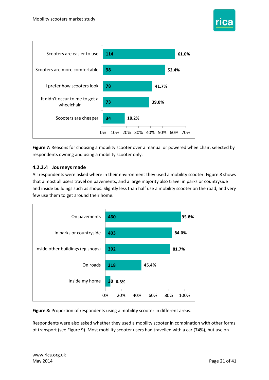



<span id="page-20-0"></span> respondents owning and using a mobility scooter only. **Figure 7:** Reasons for choosing a mobility scooter over a manual or powered wheelchair, selected by

#### **4.2.2.4 Journeys made**

 All respondents were asked where in their environment they used a mobility scooter[. Figure 8](#page-20-1) shows that almost all users travel on pavements, and a large majority also travel in parks or countryside and inside buildings such as shops. Slightly less than half use a mobility scooter on the road, and very few use them to get around their home.



<span id="page-20-1"></span>Figure 8: Proportion of respondents using a mobility scooter in different areas.

 of transport (see [Figure 9\)](#page-21-0). Most mobility scooter users had travelled with a car (74%), but use on Respondents were also asked whether they used a mobility scooter in combination with other forms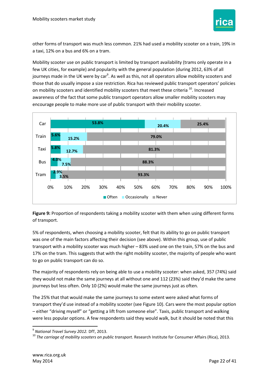

 other forms of transport was much less common. 21% had used a mobility scooter on a train, 19% in a taxi, 12% on a bus and 6% on a tram.

 Mobility scooter use on public transport is limited by transport availability (trams only operate in a journeys made in the UK were by car $^9$ . As well as this, not all operators allow mobility scooters and encourage people to make more use of public transport with their mobility scooter. few UK cities, for example) and popularity with the general population (during 2012, 63% of all those that do usually impose a size restriction. Rica has reviewed public transport operators' policies on mobility scooters and identified mobility scooters that meet these criteria <sup>10</sup>. Increased awareness of the fact that some public transport operators allow smaller mobility scooters may



<span id="page-21-0"></span>

 was one of the main factors affecting their decision (see above). Within this group, use of public transport with a mobility scooter was much higher – 83% used one on the train, 57% on the bus and 5% of respondents, when choosing a mobility scooter, felt that its ability to go on public transport 17% on the tram. This suggests that with the right mobility scooter, the majority of people who want to go on public transport can do so.

 they would not make the same journeys at all without one and 112 (23%) said they'd make the same The majority of respondents rely on being able to use a mobility scooter: when asked, 357 (74%) said journeys but less often. Only 10 (2%) would make the same journeys just as often.

 transport they'd use instead of a mobility scooter (se[e Figure 10\)](#page-22-0). Cars were the most popular option – either "driving myself" or "getting a lift from someone else". Taxis, public transport and walking were less popular options. A few respondents said they would walk, but it should be noted that this The 25% that that would make the same journeys to some extent were asked what forms of

**<sup>.</sup>** 

<sup>&</sup>lt;sup>9</sup> National Travel Survey 2012. DfT, 2013.<br><sup>10</sup> The carriage of mobility scooters on public transport. Research Institute for Consumer Affairs (Rica), 2013.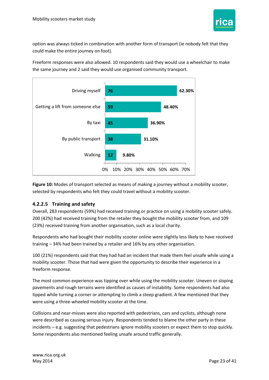

 could make the entire journey on foot). option was always ticked in combination with another form of transport (ie nobody felt that they

 Freeform responses were also allowed. 10 respondents said they would use a wheelchair to make the same journey and 2 said they would use organised community transport.



<span id="page-22-0"></span>**Figure 10:** Modes of transport selected as means of making a journey without a mobility scooter, selected by respondents who felt they could travel without a mobility scooter.

#### **4.2.2.5 Training and safety**

 200 (42%) had received training from the retailer they bought the mobility scooter from, and 109 Overall, 283 respondents (59%) had received training or practice on using a mobility scooter safely. (23%) received training from another organisation, such as a local charity.

 training – 34% had been trained by a retailer and 16% by any other organisation. Respondents who had bought their mobility scooter online were slightly less likely to have received

100 (21%) respondents said that they had had an incident that made them feel unsafe while using a mobility scooter. Those that had were given the opportunity to describe their experience in a freeform response.

 were using a three-wheeled mobility scooter at the time. The most common experience was tipping over while using the mobility scooter. Uneven or sloping pavements and rough terrains were identified as causes of instability. Some respondents had also tipped while turning a corner or attempting to climb a steep gradient. A few mentioned that they

 incidents – e.g. suggesting that pedestrians ignore mobility scooters or expect them to stop quickly. Collisions and near-misses were also reported with pedestrians, cars and cyclists, although none were described as causing serious injury. Respondents tended to blame the other party in these Some respondents also mentioned feeling unsafe around traffic generally.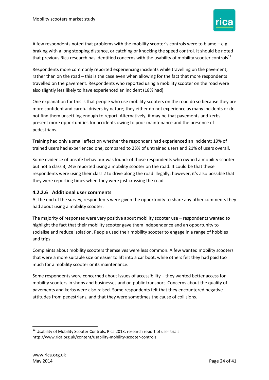

that previous Rica research has identified concerns with the usability of mobility scooter controls<sup>11</sup>. A few respondents noted that problems with the mobility scooter's controls were to blame – e.g. braking with a long stopping distance, or catching or knocking the speed control. It should be noted

 rather than on the road – this is the case even when allowing for the fact that more respondents travelled on the pavement. Respondents who reported using a mobility scooter on the road were Respondents more commonly reported experiencing incidents while travelling on the pavement, also slightly less likely to have experienced an incident (18% had).

 not find them unsettling enough to report. Alternatively, it may be that pavements and kerbs One explanation for this is that people who use mobility scooters on the road do so because they are more confident and careful drivers by nature; they either do not experience as many incidents or do present more opportunities for accidents owing to poor maintenance and the presence of pedestrians.

 Training had only a small effect on whether the respondent had experienced an incident: 19% of trained users had experienced one, compared to 23% of untrained users and 21% of users overall.

 but not a class 3, 24% reported using a mobility scooter on the road. It could be that these Some evidence of unsafe behaviour was found: of those respondents who owned a mobility scooter respondents were using their class 2 to drive along the road illegally; however, it's also possible that they were reporting times when they were just crossing the road.

#### **4.2.2.6 Additional user comments**

 had about using a mobility scooter. At the end of the survey, respondents were given the opportunity to share any other comments they

 The majority of responses were very positive about mobility scooter use – respondents wanted to highlight the fact that their mobility scooter gave them independence and an opportunity to socialise and reduce isolation. People used their mobility scooter to engage in a range of hobbies and trips.

 Complaints about mobility scooters themselves were less common. A few wanted mobility scooters that were a more suitable size or easier to lift into a car boot, while others felt they had paid too much for a mobility scooter or its maintenance.

 Some respondents were concerned about issues of accessibility – they wanted better access for mobility scooters in shops and businesses and on public transport. Concerns about the quality of pavements and kerbs were also raised. Some respondents felt that they encountered negative attitudes from pedestrians, and that they were sometimes the cause of collisions.

**.** 

 $11$  Usability of Mobility Scooter Controls, Rica 2013, research report of user trials http://www.rica.org.uk/content/usability-mobility-scooter-controls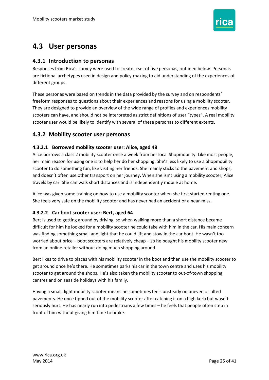

### <span id="page-24-0"></span> **4.3 User personas**

#### <span id="page-24-1"></span>**4.3.1 Introduction to personas**

 Responses from Rica's survey were used to create a set of five personas, outlined below. Personas are fictional archetypes used in design and policy-making to aid understanding of the experiences of different groups.

 They are designed to provide an overview of the wide range of profiles and experiences mobility These personas were based on trends in the data provided by the survey and on respondents' freeform responses to questions about their experiences and reasons for using a mobility scooter. scooters can have, and should not be interpreted as strict definitions of user "types". A real mobility scooter user would be likely to identify with several of these personas to different extents.

#### <span id="page-24-2"></span> **4.3.2 Mobility scooter user personas**

#### **4.3.2.1 Borrowed mobility scooter user: Alice, aged 48**

 and doesn't often use other transport on her journey. When she isn't using a mobility scooter, Alice Alice borrows a class 2 mobility scooter once a week from her local Shopmobility. Like most people, her main reason for using one is to help her do her shopping. She's less likely to use a Shopmobility scooter to do something fun, like visiting her friends. She mainly sticks to the pavement and shops, travels by car. She can walk short distances and is independently mobile at home.

Alice was given some training on how to use a mobility scooter when she first started renting one. She feels very safe on the mobility scooter and has never had an accident or a near-miss.

#### **4.3.2.2 Car boot scooter user: Bert, aged 64**

 worried about price – boot scooters are relatively cheap – so he bought his mobility scooter new Bert is used to getting around by driving, so when walking more than a short distance became difficult for him he looked for a mobility scooter he could take with him in the car. His main concern was finding something small and light that he could lift and stow in the car boot. He wasn't too from an online retailer without doing much shopping around.

 Bert likes to drive to places with his mobility scooter in the boot and then use the mobility scooter to scooter to get around the shops. He's also taken the mobility scooter to out-of-town shopping centres and on seaside holidays with his family. get around once he's there. He sometimes parks his car in the town centre and uses his mobility

 seriously hurt. He has nearly run into pedestrians a few times – he feels that people often step in Having a small, light mobility scooter means he sometimes feels unsteady on uneven or tilted pavements. He once tipped out of the mobility scooter after catching it on a high kerb but wasn't front of him without giving him time to brake.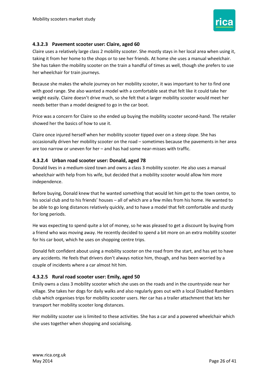

#### **4.3.2.3 Pavement scooter user: Claire, aged 60**

 She has taken the mobility scooter on the train a handful of times as well, though she prefers to use her wheelchair for train journeys. Claire uses a relatively large class 2 mobility scooter. She mostly stays in her local area when using it, taking it from her home to the shops or to see her friends. At home she uses a manual wheelchair.

 weight easily. Claire doesn't drive much, so she felt that a larger mobility scooter would meet her Because she makes the whole journey on her mobility scooter, it was important to her to find one with good range. She also wanted a model with a comfortable seat that felt like it could take her needs better than a model designed to go in the car boot.

Price was a concern for Claire so she ended up buying the mobility scooter second-hand. The retailer showed her the basics of how to use it.

 occasionally driven her mobility scooter on the road – sometimes because the pavements in her area are too narrow or uneven for her – and has had some near-misses with traffic. Claire once injured herself when her mobility scooter tipped over on a steep slope. She has

#### **4.3.2.4 Urban road scooter user: Donald, aged 78**

 wheelchair with help from his wife, but decided that a mobility scooter would allow him more Donald lives in a medium-sized town and owns a class 3 mobility scooter. He also uses a manual independence.

 his social club and to his friends' houses – all of which are a few miles from his home. He wanted to Before buying, Donald knew that he wanted something that would let him get to the town centre, to be able to go long distances relatively quickly, and to have a model that felt comfortable and sturdy for long periods.

He was expecting to spend quite a lot of money, so he was pleased to get a discount by buying from a friend who was moving away. He recently decided to spend a bit more on an extra mobility scooter for his car boot, which he uses on shopping centre trips.

Donald felt confident about using a mobility scooter on the road from the start, and has yet to have any accidents. He feels that drivers don't always notice him, though, and has been worried by a couple of incidents where a car almost hit him.

#### **4.3.2.5 Rural road scooter user: Emily, aged 50**

 Emily owns a class 3 mobility scooter which she uses on the roads and in the countryside near her club which organises trips for mobility scooter users. Her car has a trailer attachment that lets her village. She takes her dogs for daily walks and also regularly goes out with a local Disabled Ramblers transport her mobility scooter long distances.

 Her mobility scooter use is limited to these activities. She has a car and a powered wheelchair which she uses together when shopping and socialising.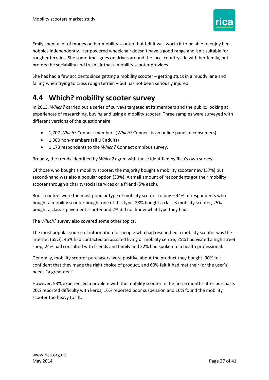

 prefers the sociability and fresh air that a mobility scooter provides. Emily spent a lot of money on her mobility scooter, but felt it was worth it to be able to enjoy her hobbies independently. Her powered wheelchair doesn't have a good range and isn't suitable for rougher terrains. She sometimes goes on drives around the local countryside with her family, but

 She has had a few accidents since getting a mobility scooter – getting stuck in a muddy lane and falling when trying to cross rough terrain – but has not been seriously injured.

### <span id="page-26-0"></span>**4.4 Which? mobility scooter survey**

 In 2013, *Which?* carried out a series of surveys targeted at its members and the public, looking at experiences of researching, buying and using a mobility scooter. Three samples were surveyed with different versions of the questionnaire:

- 1,707 *Which?* Connect members (*Which?* Connect is an online panel of consumers)
- 1,000 non-members (all UK adults)
- 1,173 respondents to the *Which?* Connect omnibus survey.

Broadly, the trends identified by *Which?* agree with those identified by Rica's own survey.

Of those who bought a mobility scooter, the majority bought a mobility scooter new (57%) but second-hand was also a popular option (33%). A small amount of respondents got their mobility scooter through a charity/social services or a friend (5% each).

 Boot scooters were the most popular type of mobility scooter to buy – 44% of respondents who bought a mobility scooter bought one of this type. 28% bought a class 3 mobility scooter, 25% bought a class 2 pavement scooter and 2% did not know what type they had.

The *Which?* survey also covered some other topics.

 The most popular source of information for people who had researched a mobility scooter was the internet (65%). 46% had contacted an assisted living or mobility centre, 25% had visited a high street shop, 24% had consulted with friends and family and 22% had spoken to a health professional.

 confident that they made the right choice of product, and 60% felt it had met their (or the user's) Generally, mobility scooter purchasers were positive about the product they bought. 90% felt needs "a great deal".

 However, 53% experienced a problem with the mobility scooter in the first 6 months after purchase. scooter too heavy to lift. 20% reported difficulty with kerbs; 16% reported poor suspension and 16% found the mobility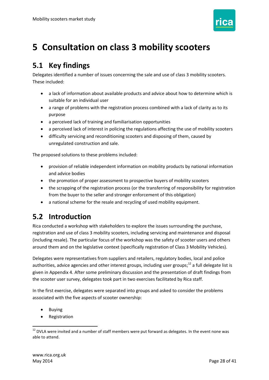

# <span id="page-27-0"></span>**5 Consultation on class 3 mobility scooters**

### <span id="page-27-1"></span>**5.1 Key findings**

 Delegates identified a number of issues concerning the sale and use of class 3 mobility scooters. These included:

- a lack of information about available products and advice about how to determine which is suitable for an individual user
- a range of problems with the registration process combined with a lack of clarity as to its purpose
- a perceived lack of training and familiarisation opportunities
- a perceived lack of interest in policing the regulations affecting the use of mobility scooters
- difficulty servicing and reconditioning scooters and disposing of them, caused by unregulated construction and sale.

The proposed solutions to these problems included:

- provision of reliable independent information on mobility products by national information and advice bodies
- the promotion of proper assessment to prospective buyers of mobility scooters
- the scrapping of the registration process (or the transferring of responsibility for registration from the buyer to the seller and stronger enforcement of this obligation)
- a national scheme for the resale and recycling of used mobility equipment.

### <span id="page-27-2"></span>**5.2 Introduction**

Rica conducted a workshop with stakeholders to explore the issues surrounding the purchase, registration and use of class 3 mobility scooters, including servicing and maintenance and disposal (including resale). The particular focus of the workshop was the safety of scooter users and others around them and on the legislative context (specifically registration of Class 3 Mobility Vehicles).

authorities, advice agencies and other interest groups, including user groups;<sup>12</sup> a full delegate list is given in [Appendix 4.](#page-40-0) After some preliminary discussion and the presentation of draft findings from the scooter user survey, delegates took part in two exercises facilitated by Rica staff. Delegates were representatives from suppliers and retailers, regulatory bodies, local and police

In the first exercise, delegates were separated into groups and asked to consider the problems associated with the five aspects of scooter ownership:

Buying

**.** 

• Registration

 $12$  DVLA were invited and a number of staff members were put forward as delegates. In the event none was able to attend.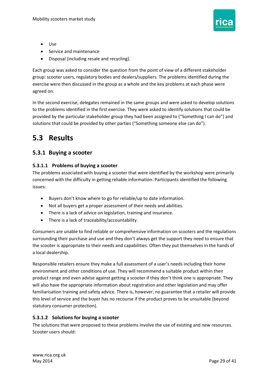

- Use
- Service and maintenance
- Disposal (including resale and recycling).

Each group was asked to consider the question from the point of view of a different stakeholder group: scooter users, regulatory bodies and dealers/suppliers. The problems identified during the exercise were then discussed in the group as a whole and the key problems at each phase were agreed on.

In the second exercise, delegates remained in the same groups and were asked to develop solutions to the problems identified in the first exercise. They were asked to identify solutions that could be provided by the particular stakeholder group they had been assigned to ("Something I can do") and solutions that could be provided by other parties ("Something someone else can do").

### <span id="page-28-0"></span>**5.3 Results**

#### <span id="page-28-1"></span> **5.3.1 Buying a scooter**

#### **5.3.1.1 Problems of buying a scooter**

The problems associated with buying a scooter that were identified by the workshop were primarily concerned with the difficulty in getting reliable information. Participants identified the following issues:

- Buyers don't know where to go for reliable/up to date information.
- Not all buyers get a proper assessment of their needs and abilities.
- There is a lack of advice on legislation, training and insurance.
- There is a lack of traceability/accountability.

 the scooter is appropriate to their needs and capabilities. Often they put themselves in the hands of a local dealership. Consumers are unable to find reliable or comprehensive information on scooters and the regulations surrounding their purchase and use and they don't always get the support they need to ensure that

Responsible retailers ensure they make a full assessment of a user's needs including their home environment and other conditions of use. They will recommend a suitable product within their product range and even advise against getting a scooter if they don't think one is appropriate. They will also have the appropriate information about registration and other legislation and may offer familiarisation training and safety advice. There is, however, no guarantee that a retailer will provide this level of service and the buyer has no recourse if the product proves to be unsuitable (beyond statutory consumer protection).

#### **5.3.1.2 Solutions for buying a scooter**

The solutions that were proposed to these problems involve the use of existing and new resources. Scooter users should: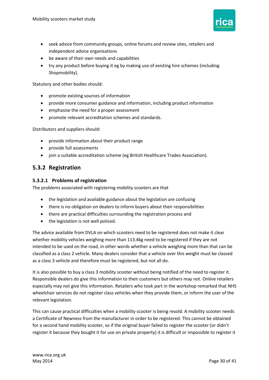

- seek advice from community groups, online forums and review sites, retailers and independent advice organisations
- be aware of their own needs and capabilities
- try any product before buying it eg by making use of existing hire schemes (including Shopmobility).

Statutory and other bodies should:

- promote existing sources of information
- provide more consumer guidance and information, including product information
- emphasise the need for a proper assessment
- promote relevant accreditation schemes and standards.

Distributors and suppliers should:

- provide information about their product range
- provide full assessments
- join a suitable accreditation scheme (eg British Healthcare Trades Association).

#### <span id="page-29-0"></span>**5.3.2 Registration**

#### **5.3.2.1 Problems of registration**

The problems associated with registering mobility scooters are that

- the legislation and available guidance about the legislation are confusing
- there is no obligation on dealers to inform buyers about their responsibilities
- there are practical difficulties surrounding the registration process and
- the legislation is not well policed.

 The advice available from DVLA on which scooters need to be registered does not make it clear whether mobility vehicles weighing more than 113.4kg need to be registered if they are not intended to be used on the road, in other words whether a vehicle weighing more than that can be classified as a class 2 vehicle. Many dealers consider that a vehicle over this weight must be classed as a class 3 vehicle and therefore must be registered, but not all do.

It is also possible to buy a class 3 mobility scooter without being notified of the need to register it. Responsible dealers do give this information to their customers but others may not. Online retailers especially may not give this information. Retailers who took part in the workshop remarked that NHS wheelchair services do not register class vehicles when they provide them, or inform the user of the relevant legislation.

This can cause practical difficulties when a mobility scooter is being resold. A mobility scooter needs a Certificate of Newness from the manufacturer in order to be registered. This cannot be obtained for a second hand mobility scooter, so if the original buyer failed to register the scooter (or didn't register it because they bought it for use on private property) it is difficult or impossible to register it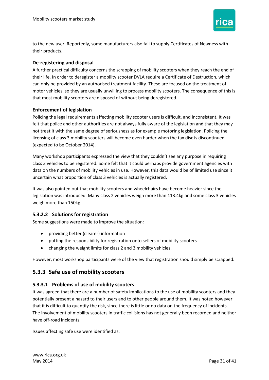

to the new user. Reportedly, some manufacturers also fail to supply Certificates of Newness with their products.

#### **De-registering and disposal**

 can only be provided by an authorised treatment facility. These are focused on the treatment of A further practical difficulty concerns the scrapping of mobility scooters when they reach the end of their life. In order to deregister a mobility scooter DVLA require a Certificate of Destruction, which motor vehicles, so they are usually unwilling to process mobility scooters. The consequence of this is that most mobility scooters are disposed of without being deregistered.

#### **Enforcement of legislation**

 felt that police and other authorities are not always fully aware of the legislation and that they may Policing the legal requirements affecting mobility scooter users is difficult, and inconsistent. It was not treat it with the same degree of seriousness as for example motoring legislation. Policing the licensing of class 3 mobility scooters will become even harder when the tax disc is discontinued (expected to be October 2014).

 Many workshop participants expressed the view that they couldn't see any purpose in requiring class 3 vehicles to be registered. Some felt that it could perhaps provide government agencies with data on the numbers of mobility vehicles in use. However, this data would be of limited use since it uncertain what proportion of class 3 vehicles is actually registered.

 legislation was introduced. Many class 2 vehicles weigh more than 113.4kg and some class 3 vehicles weigh more than 150kg. It was also pointed out that mobility scooters and wheelchairs have become heavier since the

#### **5.3.2.2 Solutions for registration**

Some suggestions were made to improve the situation:

- providing better (clearer) information
- putting the responsibility for registration onto sellers of mobility scooters
- changing the weight limits for class 2 and 3 mobility vehicles.

However, most workshop participants were of the view that registration should simply be scrapped.

#### <span id="page-30-0"></span>**5.3.3 Safe use of mobility scooters**

#### **5.3.3.1 Problems of use of mobility scooters**

 potentially present a hazard to their users and to other people around them. It was noted however It was agreed that there are a number of safety implications to the use of mobility scooters and they that it is difficult to quantify the risk, since there is little or no data on the frequency of incidents. The involvement of mobility scooters in traffic collisions has not generally been recorded and neither have off-road incidents.

Issues affecting safe use were identified as: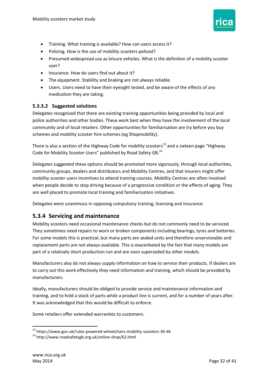

- Training. What training is available? How can users access it?
- Policing. How is the use of mobility scooters policed?
- Presumed widespread use as leisure vehicles. What is the definition of a mobility scooter user?
- Insurance. How do users find out about it?
- The equipment. Stability and braking are not always reliable.
- Users. Users need to have their eyesight tested, and be aware of the effects of any medication they are taking.

#### **5.3.3.2 Suggested solutions**

 schemes and mobility scooter hire schemes (eg Shopmobility). Delegates recognised that there are existing training opportunities being provided by local and police authorities and other bodies. These work best when they have the involvement of the local community and of local retailers. Other opportunities for familiarisation are try before you buy

Code for Mobility Scooter Users" published by Road Safety GB.<sup>14</sup> There is also a section of the Highway Code for mobility scooters<sup>13</sup> and a sixteen page "Highway

 community groups, dealers and distributors and Mobility Centres, and that insurers might offer Delegates suggested these options should be promoted more vigorously, through local authorities, mobility scooter users incentives to attend training courses. Mobility Centres are often involved when people decide to stop driving because of a progressive condition or the effects of aging. They are well placed to promote local training and familiarisation initiatives.

Delegates were unanimous in opposing compulsory training, licensing and insurance.

#### <span id="page-31-0"></span>**5.3.4 Servicing and maintenance**

 replacement parts are not always available. This is exacerbated by the fact that many models are Mobility scooters need occasional maintenance checks but do not commonly need to be serviced. They sometimes need repairs to worn or broken components including bearings, tyres and batteries. For some models this is practical, but many parts are sealed units and therefore unserviceable and part of a relatively short production run and are soon superseded by other models.

 Manufacturers also do not always supply information on how to service their products. If dealers are to carry out this work effectively they need information and training, which should be provided by manufacturers.

 It was acknowledged that this would be difficult to enforce. Ideally, manufacturers should be obliged to provide service and maintenance information and training, and to hold a stock of parts while a product line is current, and for a number of years after.

Some retailers offer extended warranties to customers.

**<sup>.</sup>** <sup>13</sup> https://www.gov.uk/rules-powered-wheelchairs-mobility-scooters-36-46 14 http://www.roadsafetygb.org.uk/online-shop/62.html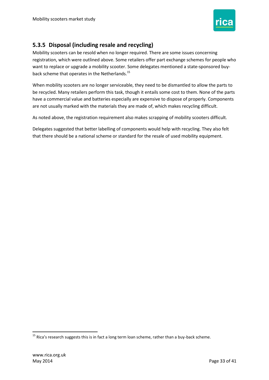

#### <span id="page-32-0"></span> **5.3.5 Disposal (including resale and recycling)**

Mobility scooters can be resold when no longer required. There are some issues concerning registration, which were outlined above. Some retailers offer part exchange schemes for people who want to replace or upgrade a mobility scooter. Some delegates mentioned a state-sponsored buyback scheme that operates in the Netherlands.<sup>15</sup>

 are not usually marked with the materials they are made of, which makes recycling difficult. When mobility scooters are no longer serviceable, they need to be dismantled to allow the parts to be recycled. Many retailers perform this task, though it entails some cost to them. None of the parts have a commercial value and batteries especially are expensive to dispose of properly. Components

As noted above, the registration requirement also makes scrapping of mobility scooters difficult.

Delegates suggested that better labelling of components would help with recycling. They also felt that there should be a national scheme or standard for the resale of used mobility equipment.

1

 $^{15}$  Rica's research suggests this is in fact a long term loan scheme, rather than a buy-back scheme.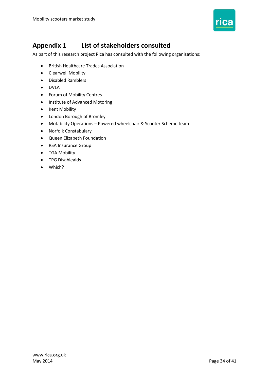

### <span id="page-33-0"></span>**Appendix 1 List of stakeholders consulted**

As part of this research project Rica has consulted with the following organisations:

- British Healthcare Trades Association
- Clearwell Mobility
- Disabled Ramblers
- DVLA
- Forum of Mobility Centres
- Institute of Advanced Motoring
- Kent Mobility
- London Borough of Bromley
- Motability Operations Powered wheelchair & Scooter Scheme team
- Norfolk Constabulary
- Queen Elizabeth Foundation
- RSA Insurance Group
- TGA Mobility
- **•** TPG Disableaids
- Which?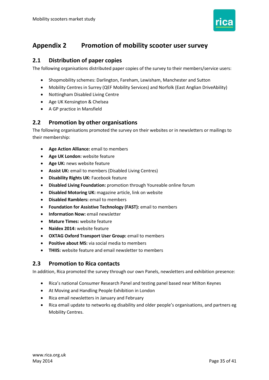

### <span id="page-34-0"></span>**Appendix 2 Promotion of mobility scooter user survey**

#### <span id="page-34-1"></span> **2.1 Distribution of paper copies**

The following organisations distributed paper copies of the survey to their members/service users:

- Shopmobility schemes: Darlington, Fareham, Lewisham, Manchester and Sutton
- Mobility Centres in Surrey (QEF Mobility Services) and Norfolk (East Anglian DriveAbility)
- Nottingham Disabled Living Centre
- Age UK Kensington & Chelsea
- A GP practice in Mansfield

#### <span id="page-34-2"></span> **2.2 Promotion by other organisations**

The following organisations promoted the survey on their websites or in newsletters or mailings to their membership:

- **Age Action Alliance:** email to members
- **Age UK London:** website feature
- **Age UK:** news website feature
- **Assist UK:** email to members (Disabled Living Centres)
- **Disability Rights UK:** Facebook feature
- **Disabled Living Foundation:** promotion through Youreable online forum
- **Disabled Motoring UK:** magazine article, link on website
- **Disabled Ramblers:** email to members
- **Foundation for Assistive Technology (FAST):** email to members
- **•** Information Now: email newsletter
- **Mature Times:** website feature
- **Naidex 2014:** website feature
- **OXTAG Oxford Transport User Group:** email to members
- **Positive about MS:** via social media to members
- **THIIS:** website feature and email newsletter to members

#### <span id="page-34-3"></span>**2.3 Promotion to Rica contacts**

In addition, Rica promoted the survey through our own Panels, newsletters and exhibition presence:

- Rica's national Consumer Research Panel and testing panel based near Milton Keynes
- At Moving and Handling People Exhibition in London
- Rica email newsletters in January and February
- Rica email update to networks eg disability and older people's organisations, and partners eg Mobility Centres.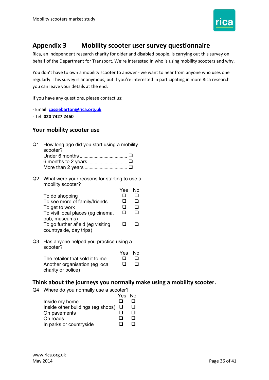

### <span id="page-35-0"></span>**Appendix 3 Mobility scooter user survey questionnaire**

 behalf of the Department for Transport. We're interested in who is using mobility scooters and why. Rica, an independent research charity for older and disabled people, is carrying out this survey on

 You don't have to own a mobility scooter to answer - we want to hear from anyone who uses one regularly. This survey is anonymous, but if you're interested in participating in more Rica research you can leave your details at the end.

If you have any questions, please contact us:

- Email: **[cassiebarton@rica.org.uk](mailto:cassiebarton@rica.org.uk)** 

- Tel: **020 7427 2460** 

#### <span id="page-35-1"></span> **Your mobility scooter use**

| Q1 How long ago did you start using a mobility |
|------------------------------------------------|
| scooter?                                       |
|                                                |
|                                                |
|                                                |

 Q2 What were your reasons for starting to use a mobility scooter?

| To do shopping<br>To see more of family/friends<br>To get to work<br>To visit local places (eg cinema,<br>pub, museums)<br>To go further afield (eg visiting<br>countryside, day trips) | Yes<br>ப | N٥ |
|-----------------------------------------------------------------------------------------------------------------------------------------------------------------------------------------|----------|----|
|                                                                                                                                                                                         |          |    |

 Q3 Has anyone helped you practice using a scooter? Yes No

|                                 | Yes NO |        |
|---------------------------------|--------|--------|
| The retailer that sold it to me | $\Box$ | $\Box$ |
| Another organisation (eg local  | ப      | $\Box$ |
| charity or police)              |        |        |

#### <span id="page-35-2"></span> **Think about the journeys you normally make using a mobility scooter.**

Q4 Where do you normally use a scooter?

|                                          | Yes No       |  |
|------------------------------------------|--------------|--|
| Inside my home                           |              |  |
| Inside other buildings (eg shops) $\Box$ |              |  |
| On pavements                             |              |  |
| On roads                                 | $\mathbf{I}$ |  |
| In parks or countryside                  |              |  |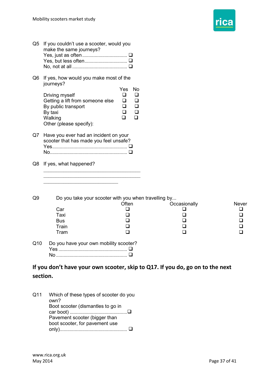

<span id="page-36-0"></span>

| Q5             | If you couldn't use a scooter, would you<br>make the same journeys?<br>Yes, but less often <b>□</b>                                                    |                                             |                                            |                                                                               |                        |
|----------------|--------------------------------------------------------------------------------------------------------------------------------------------------------|---------------------------------------------|--------------------------------------------|-------------------------------------------------------------------------------|------------------------|
| Q6             | If yes, how would you make most of the<br>journeys?                                                                                                    |                                             |                                            |                                                                               |                        |
|                | Driving myself<br>Getting a lift from someone else<br>By public transport<br>By taxi<br>Walking<br>Other (please specify):                             | Yes<br>$\Box$<br>□<br>$\Box$<br>□<br>$\Box$ | No<br>$\Box$<br>❏<br>❏<br>$\Box$<br>$\Box$ |                                                                               |                        |
| Q7             | Have you ever had an incident on your<br>scooter that has made you feel unsafe?                                                                        |                                             |                                            |                                                                               |                        |
| Q8             | If yes, what happened?                                                                                                                                 |                                             |                                            |                                                                               |                        |
| Q <sub>9</sub> | Do you take your scooter with you when travelling by<br>Car<br>Taxi<br><b>Bus</b><br>Train<br>Tram                                                     | Often<br>⊐<br>ப<br>⊔<br>⊔<br>ப              |                                            | Occasionally<br>⊔<br>ப                                                        | <b>Never</b><br>⊔<br>ப |
| Q10            | Do you have your own mobility scooter?                                                                                                                 |                                             |                                            |                                                                               |                        |
|                | section.                                                                                                                                               |                                             |                                            | If you don't have your own scooter, skip to Q17. If you do, go on to the next |                        |
| Q11            | Which of these types of scooter do you<br>own?<br>Boot scooter (dismantles to go in<br>Pavement scooter (bigger than<br>boot scooter, for pavement use |                                             |                                            |                                                                               |                        |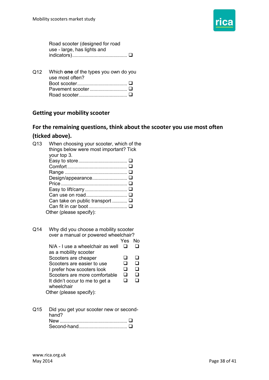

 Road scooter (designed for road use - large, has lights and indicators)............................................

 Q12 Which **one** of the types you own do you use most often? Boot scooter........................................ Pavement scooter .............................. Road scooter.......................................

#### <span id="page-37-0"></span> **Getting your mobility scooter**

### <span id="page-37-1"></span> **For the remaining questions, think about the scooter you use most often (ticked above).**

| Q13 | When choosing your scooter, which of the<br>things below were most important? Tick<br>your top 3.<br>Design/appearance □<br>Can take on public transport  □<br>Other (please specify):                                                                                                                          |               |                                    |
|-----|-----------------------------------------------------------------------------------------------------------------------------------------------------------------------------------------------------------------------------------------------------------------------------------------------------------------|---------------|------------------------------------|
| Q14 | Why did you choose a mobility scooter<br>over a manual or powered wheelchair?<br>N/A - I use a wheelchair as well<br>as a mobility scooter<br>Scooters are cheaper<br>Scooters are easier to use<br>I prefer how scooters look<br>Scooters are more comfortable<br>It didn't occur to me to get a<br>wheelchair | Yes<br>⊓<br>□ | No<br>П<br>l I<br>□<br>∩<br>◻<br>∩ |

Other (please specify):

 Q15 Did you get your scooter new or secondhand? New ...................................................... Second-hand.......................................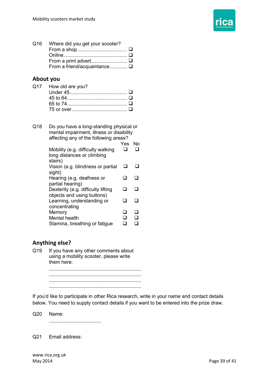

| Q16 Where did you get your scooter? |  |
|-------------------------------------|--|
|                                     |  |
|                                     |  |
|                                     |  |
| From a friend/acquaintance Q        |  |

#### <span id="page-38-0"></span> **About you**

| Q17 How old are you? |  |
|----------------------|--|
|                      |  |
|                      |  |
|                      |  |
|                      |  |

 Q18 Do you have a long-standing physical or mental impairment, illness or disability affecting any of the following areas? Mobility (e.g. difficulty walking long distances or climbing Vision (e.g. blindness or partial Dexterity (e.g. difficulty lifting objects and using buttons) Stamina, breathing or fatigue Yes No stairs) sight) Hearing (e.g. deafness or partial hearing) Learning, understanding or concentrating **Memory** Mental health  $\begin{array}{cc} \square & \square \end{array}$  $\begin{array}{cc} \square & \square \end{array}$  $\Box$   $\Box$  $\Box$   $\Box$  $\Box$   $\Box$  $\Box$  $\begin{array}{cc} \square & \square \end{array}$  $\Box \quad \Box$ 

#### <span id="page-38-1"></span> **Anything else?**

Q19 If you have any other comments about using a mobility scooter, please write them here:

 $\overline{\phantom{a}}$  , where  $\overline{\phantom{a}}$ 

\_\_\_\_\_\_\_\_\_\_\_\_\_\_\_\_\_\_\_\_\_\_\_\_\_\_\_\_\_\_\_\_\_\_\_\_\_  $\overline{\phantom{a}}$  , where  $\overline{\phantom{a}}$  , where  $\overline{\phantom{a}}$  , where  $\overline{\phantom{a}}$  , where  $\overline{\phantom{a}}$  $\overline{\phantom{a}}$  , where  $\overline{\phantom{a}}$  , where  $\overline{\phantom{a}}$  , where  $\overline{\phantom{a}}$  , where  $\overline{\phantom{a}}$ \_\_\_\_\_\_\_\_\_\_\_\_\_\_\_\_\_\_\_\_\_\_\_\_\_\_\_\_\_\_\_\_\_\_\_\_\_

 If you'd like to participate in other Rica research, write in your name and contact details below. You need to supply contact details if you want to be entered into the prize draw.

Q20 Name:

Q21 Email address: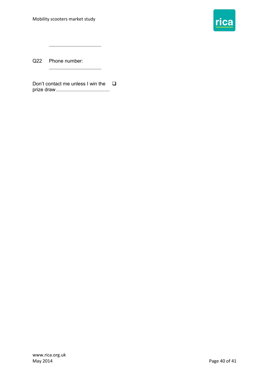

Q22 Phone number:

Don't contact me unless I win the  $\square$ prize draw...........................................

 $\overline{\phantom{a}}$  , and the set of the set of the set of the set of the set of the set of the set of the set of the set of the set of the set of the set of the set of the set of the set of the set of the set of the set of the s

 $\overline{\phantom{a}}$  , where  $\overline{\phantom{a}}$